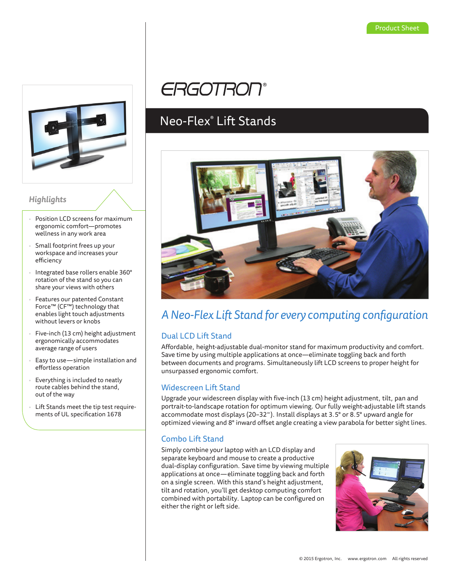

### *Highlights*

- Position LCD screens for maximum ergonomic comfort—promotes wellness in any work area
- Small footprint frees up your workspace and increases your efficiency
- Integrated base rollers enable 360° rotation of the stand so you can share your views with others
- Features our patented Constant Force™ (CF™) technology that enables light touch adjustments without levers or knobs
- Five-inch (13 cm) height adjustment ergonomically accommodates average range of users
- Easy to use—simple installation and effortless operation
- Everything is included to neatly route cables behind the stand, out of the way
- Lift Stands meet the tip test requirements of UL specification 1678

# **ERGOTRON®**

## Neo-Flex® Lift Stands



### *A Neo-Flex Lift Stand for every computing configuration*

### Dual LCD Lift Stand

Affordable, height-adjustable dual-monitor stand for maximum productivity and comfort. Save time by using multiple applications at once—eliminate toggling back and forth between documents and programs. Simultaneously lift LCD screens to proper height for unsurpassed ergonomic comfort.

### Widescreen Lift Stand

Upgrade your widescreen display with five-inch (13 cm) height adjustment, tilt, pan and portrait-to-landscape rotation for optimum viewing. Our fully weight-adjustable lift stands accommodate most displays (20–32"). Install displays at 3.5° or 8.5° upward angle for optimized viewing and 8° inward offset angle creating a view parabola for better sight lines.

### Combo Lift Stand

Simply combine your laptop with an LCD display and separate keyboard and mouse to create a productive dual-display configuration. Save time by viewing multiple applications at once—eliminate toggling back and forth on a single screen. With this stand's height adjustment, tilt and rotation, you'll get desktop computing comfort combined with portability. Laptop can be configured on either the right or left side.